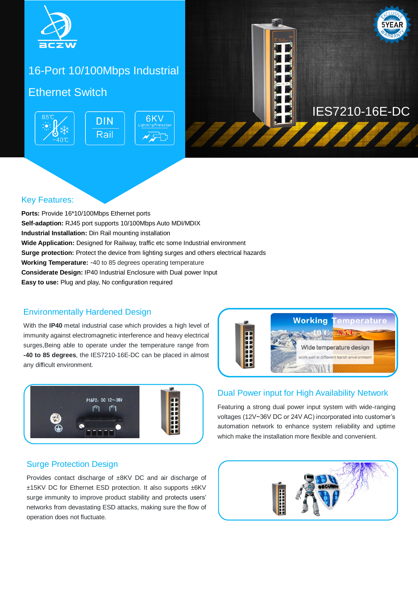

# 16-Port 10/100Mbps Industrial

## Ethernet Switch **Ethernet**





### Key Features:

**Ports:** Provide 16\*10/100Mbps Ethernet ports **Self-adaption:** RJ45 port supports 10/100Mbps Auto MDI/MDIX **Industrial Installation:** Din Rail mounting installation **Wide Application:** Designed for Railway, traffic etc some Industrial environment **Surge protection:** Protect the device from lighting surges and others electrical hazards **Working Temperature:** -40 to 85 degrees operating temperature **Considerate Design:** IP40 Industrial Enclosure with Dual power Input **Easy to use:** Plug and play, No configuration required

### Environmentally Hardened Design

With the **IP40** metal industrial case which provides a high level of immunity against electromagnetic interference and heavy electrical surges,Being able to operate under the temperature range from **-40 to 85 degrees**, the IES7210-16E-DC can be placed in almost any difficult environment.



### Surge Protection Design

Provides contact discharge of ±8KV DC and air discharge of ±15KV DC for Ethernet ESD protection. It also supports ±6KV surge immunity to improve product stability and protects users' networks from devastating ESD attacks, making sure the flow of operation does not fluctuate.



### Dual Power input for High Availability Network

Featuring a strong dual power input system with wide-ranging voltages (12V~36V DC or 24V AC) incorporated into customer's automation network to enhance system reliability and uptime which make the installation more flexible and convenient.

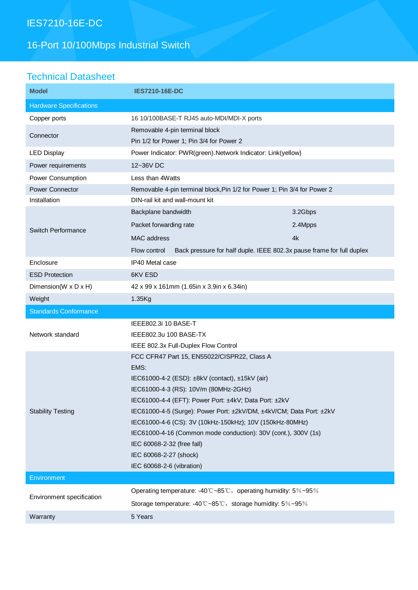# IES7210-16E-DC

# 16-Port 10/100Mbps Industrial Switch

## Technical Datasheet

| <b>Model</b>                   | <b>IES7210-16E-DC</b>                                                                 |         |
|--------------------------------|---------------------------------------------------------------------------------------|---------|
| <b>Hardware Specifications</b> |                                                                                       |         |
| Copper ports                   | 16 10/100BASE-T RJ45 auto-MDI/MDI-X ports                                             |         |
| Connector                      | Removable 4-pin terminal block                                                        |         |
|                                | Pin 1/2 for Power 1; Pin 3/4 for Power 2                                              |         |
| <b>LED Display</b>             | Power Indicator: PWR(green). Network Indicator: Link(yellow)                          |         |
| Power requirements             | 12~36V DC                                                                             |         |
| Power Consumption              | Less than 4Watts                                                                      |         |
| <b>Power Connector</b>         | Removable 4-pin terminal block, Pin 1/2 for Power 1; Pin 3/4 for Power 2              |         |
| Installation                   | DIN-rail kit and wall-mount kit                                                       |         |
| Switch Performance             | Backplane bandwidth                                                                   | 3.2Gbps |
|                                | Packet forwarding rate                                                                | 2.4Mpps |
|                                | <b>MAC</b> address                                                                    | 4k      |
|                                | Back pressure for half duple. IEEE 802.3x pause frame for full duplex<br>Flow control |         |
| Enclosure                      | IP40 Metal case                                                                       |         |
| <b>ESD Protection</b>          | 6KV ESD                                                                               |         |
| Dimension(W x D x H)           | 42 x 99 x 161mm (1.65in x 3.9in x 6.34in)                                             |         |
| Weight                         | 1.35Kg                                                                                |         |
| <b>Standards Conformance</b>   |                                                                                       |         |
|                                |                                                                                       |         |
|                                | IEEE802.3i 10 BASE-T                                                                  |         |
| Network standard               | IEEE802.3u 100 BASE-TX                                                                |         |
|                                | IEEE 802.3x Full-Duplex Flow Control                                                  |         |
|                                | FCC CFR47 Part 15, EN55022/CISPR22, Class A                                           |         |
|                                | EMS:                                                                                  |         |
|                                | IEC61000-4-2 (ESD): ±8kV (contact), ±15kV (air)                                       |         |
|                                | IEC61000-4-3 (RS): 10V/m (80MHz-2GHz)                                                 |         |
|                                | IEC61000-4-4 (EFT): Power Port: ±4kV; Data Port: ±2kV                                 |         |
| <b>Stability Testing</b>       | IEC61000-4-5 (Surge): Power Port: ±2kV/DM, ±4kV/CM; Data Port: ±2kV                   |         |
|                                | IEC61000-4-6 (CS): 3V (10kHz-150kHz); 10V (150kHz-80MHz)                              |         |
|                                | IEC61000-4-16 (Common mode conduction): 30V (cont.), 300V (1s)                        |         |
|                                | IEC 60068-2-32 (free fall)                                                            |         |
|                                | IEC 60068-2-27 (shock)<br>IEC 60068-2-6 (vibration)                                   |         |
| Environment                    |                                                                                       |         |
|                                | Operating temperature: -40°C~85°C, operating humidity: 5%~95%                         |         |
| Environment specification      | Storage temperature: -40°C~85°C, storage humidity: 5%~95%                             |         |
| Warranty                       | 5 Years                                                                               |         |